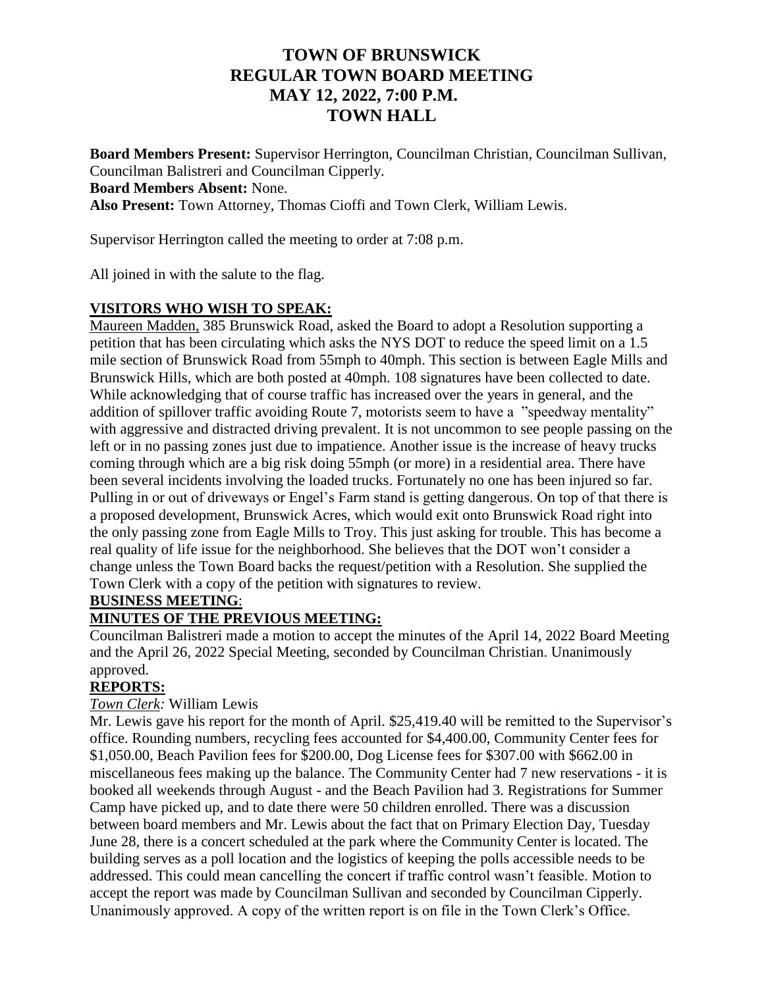# **TOWN OF BRUNSWICK REGULAR TOWN BOARD MEETING MAY 12, 2022, 7:00 P.M. TOWN HALL**

**Board Members Present:** Supervisor Herrington, Councilman Christian, Councilman Sullivan, Councilman Balistreri and Councilman Cipperly. **Board Members Absent:** None. **Also Present:** Town Attorney, Thomas Cioffi and Town Clerk, William Lewis.

Supervisor Herrington called the meeting to order at 7:08 p.m.

All joined in with the salute to the flag.

# **VISITORS WHO WISH TO SPEAK:**

Maureen Madden, 385 Brunswick Road, asked the Board to adopt a Resolution supporting a petition that has been circulating which asks the NYS DOT to reduce the speed limit on a 1.5 mile section of Brunswick Road from 55mph to 40mph. This section is between Eagle Mills and Brunswick Hills, which are both posted at 40mph. 108 signatures have been collected to date. While acknowledging that of course traffic has increased over the years in general, and the addition of spillover traffic avoiding Route 7, motorists seem to have a "speedway mentality" with aggressive and distracted driving prevalent. It is not uncommon to see people passing on the left or in no passing zones just due to impatience. Another issue is the increase of heavy trucks coming through which are a big risk doing 55mph (or more) in a residential area. There have been several incidents involving the loaded trucks. Fortunately no one has been injured so far. Pulling in or out of driveways or Engel's Farm stand is getting dangerous. On top of that there is a proposed development, Brunswick Acres, which would exit onto Brunswick Road right into the only passing zone from Eagle Mills to Troy. This just asking for trouble. This has become a real quality of life issue for the neighborhood. She believes that the DOT won't consider a change unless the Town Board backs the request/petition with a Resolution. She supplied the Town Clerk with a copy of the petition with signatures to review.

### **BUSINESS MEETING**:

# **MINUTES OF THE PREVIOUS MEETING:**

Councilman Balistreri made a motion to accept the minutes of the April 14, 2022 Board Meeting and the April 26, 2022 Special Meeting, seconded by Councilman Christian. Unanimously approved.

# **REPORTS:**

## *Town Clerk:* William Lewis

Mr. Lewis gave his report for the month of April. \$25,419.40 will be remitted to the Supervisor's office. Rounding numbers, recycling fees accounted for \$4,400.00, Community Center fees for \$1,050.00, Beach Pavilion fees for \$200.00, Dog License fees for \$307.00 with \$662.00 in miscellaneous fees making up the balance. The Community Center had 7 new reservations - it is booked all weekends through August - and the Beach Pavilion had 3. Registrations for Summer Camp have picked up, and to date there were 50 children enrolled. There was a discussion between board members and Mr. Lewis about the fact that on Primary Election Day, Tuesday June 28, there is a concert scheduled at the park where the Community Center is located. The building serves as a poll location and the logistics of keeping the polls accessible needs to be addressed. This could mean cancelling the concert if traffic control wasn't feasible. Motion to accept the report was made by Councilman Sullivan and seconded by Councilman Cipperly. Unanimously approved. A copy of the written report is on file in the Town Clerk's Office.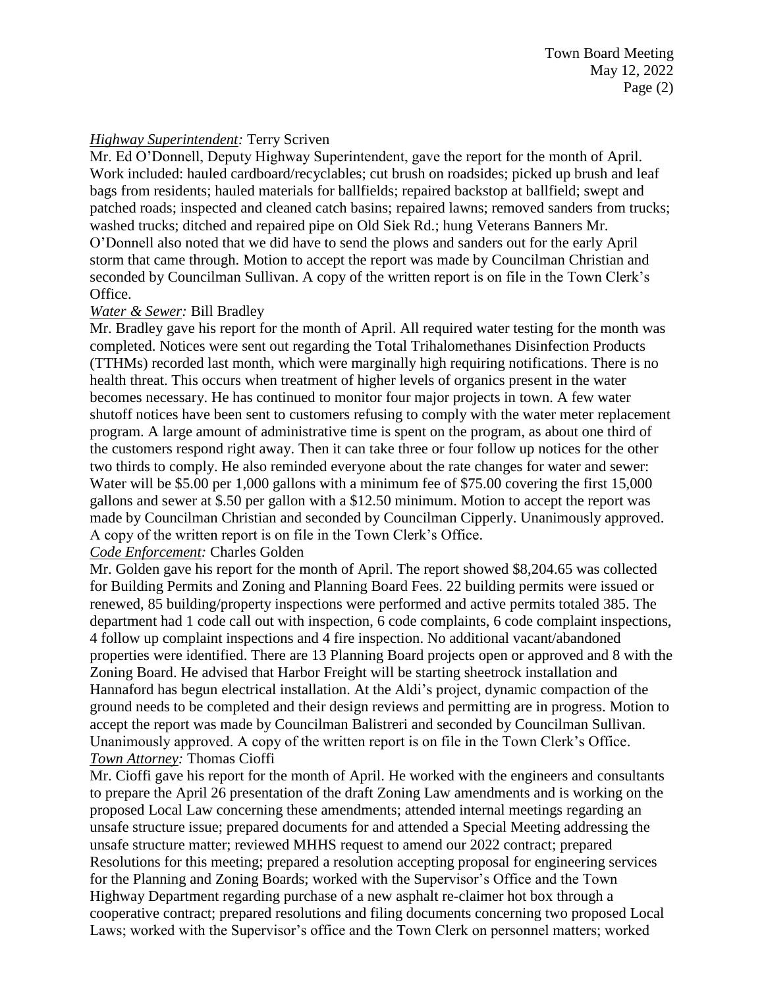## *Highway Superintendent:* Terry Scriven

Mr. Ed O'Donnell, Deputy Highway Superintendent, gave the report for the month of April. Work included: hauled cardboard/recyclables; cut brush on roadsides; picked up brush and leaf bags from residents; hauled materials for ballfields; repaired backstop at ballfield; swept and patched roads; inspected and cleaned catch basins; repaired lawns; removed sanders from trucks; washed trucks; ditched and repaired pipe on Old Siek Rd.; hung Veterans Banners Mr. O'Donnell also noted that we did have to send the plows and sanders out for the early April storm that came through. Motion to accept the report was made by Councilman Christian and seconded by Councilman Sullivan. A copy of the written report is on file in the Town Clerk's Office.

## *Water & Sewer:* Bill Bradley

Mr. Bradley gave his report for the month of April. All required water testing for the month was completed. Notices were sent out regarding the Total Trihalomethanes Disinfection Products (TTHMs) recorded last month, which were marginally high requiring notifications. There is no health threat. This occurs when treatment of higher levels of organics present in the water becomes necessary. He has continued to monitor four major projects in town. A few water shutoff notices have been sent to customers refusing to comply with the water meter replacement program. A large amount of administrative time is spent on the program, as about one third of the customers respond right away. Then it can take three or four follow up notices for the other two thirds to comply. He also reminded everyone about the rate changes for water and sewer: Water will be \$5.00 per 1,000 gallons with a minimum fee of \$75.00 covering the first 15,000 gallons and sewer at \$.50 per gallon with a \$12.50 minimum. Motion to accept the report was made by Councilman Christian and seconded by Councilman Cipperly. Unanimously approved. A copy of the written report is on file in the Town Clerk's Office.

## *Code Enforcement:* Charles Golden

Mr. Golden gave his report for the month of April. The report showed \$8,204.65 was collected for Building Permits and Zoning and Planning Board Fees. 22 building permits were issued or renewed, 85 building/property inspections were performed and active permits totaled 385. The department had 1 code call out with inspection, 6 code complaints, 6 code complaint inspections, 4 follow up complaint inspections and 4 fire inspection. No additional vacant/abandoned properties were identified. There are 13 Planning Board projects open or approved and 8 with the Zoning Board. He advised that Harbor Freight will be starting sheetrock installation and Hannaford has begun electrical installation. At the Aldi's project, dynamic compaction of the ground needs to be completed and their design reviews and permitting are in progress. Motion to accept the report was made by Councilman Balistreri and seconded by Councilman Sullivan. Unanimously approved. A copy of the written report is on file in the Town Clerk's Office. *Town Attorney:* Thomas Cioffi

Mr. Cioffi gave his report for the month of April. He worked with the engineers and consultants to prepare the April 26 presentation of the draft Zoning Law amendments and is working on the proposed Local Law concerning these amendments; attended internal meetings regarding an unsafe structure issue; prepared documents for and attended a Special Meeting addressing the unsafe structure matter; reviewed MHHS request to amend our 2022 contract; prepared Resolutions for this meeting; prepared a resolution accepting proposal for engineering services for the Planning and Zoning Boards; worked with the Supervisor's Office and the Town Highway Department regarding purchase of a new asphalt re-claimer hot box through a cooperative contract; prepared resolutions and filing documents concerning two proposed Local Laws; worked with the Supervisor's office and the Town Clerk on personnel matters; worked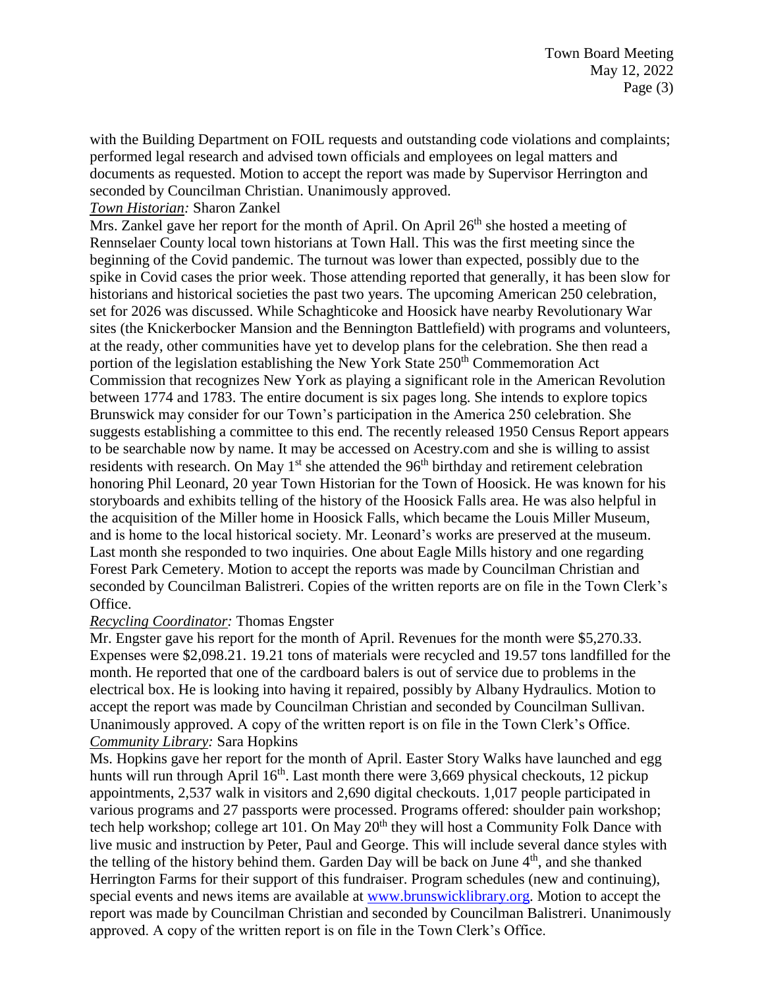with the Building Department on FOIL requests and outstanding code violations and complaints; performed legal research and advised town officials and employees on legal matters and documents as requested. Motion to accept the report was made by Supervisor Herrington and seconded by Councilman Christian. Unanimously approved.

### *Town Historian:* Sharon Zankel

Mrs. Zankel gave her report for the month of April. On April  $26<sup>th</sup>$  she hosted a meeting of Rennselaer County local town historians at Town Hall. This was the first meeting since the beginning of the Covid pandemic. The turnout was lower than expected, possibly due to the spike in Covid cases the prior week. Those attending reported that generally, it has been slow for historians and historical societies the past two years. The upcoming American 250 celebration, set for 2026 was discussed. While Schaghticoke and Hoosick have nearby Revolutionary War sites (the Knickerbocker Mansion and the Bennington Battlefield) with programs and volunteers, at the ready, other communities have yet to develop plans for the celebration. She then read a portion of the legislation establishing the New York State 250<sup>th</sup> Commemoration Act Commission that recognizes New York as playing a significant role in the American Revolution between 1774 and 1783. The entire document is six pages long. She intends to explore topics Brunswick may consider for our Town's participation in the America 250 celebration. She suggests establishing a committee to this end. The recently released 1950 Census Report appears to be searchable now by name. It may be accessed on Acestry.com and she is willing to assist residents with research. On May  $1<sup>st</sup>$  she attended the  $96<sup>th</sup>$  birthday and retirement celebration honoring Phil Leonard, 20 year Town Historian for the Town of Hoosick. He was known for his storyboards and exhibits telling of the history of the Hoosick Falls area. He was also helpful in the acquisition of the Miller home in Hoosick Falls, which became the Louis Miller Museum, and is home to the local historical society. Mr. Leonard's works are preserved at the museum. Last month she responded to two inquiries. One about Eagle Mills history and one regarding Forest Park Cemetery. Motion to accept the reports was made by Councilman Christian and seconded by Councilman Balistreri. Copies of the written reports are on file in the Town Clerk's Office.

### *Recycling Coordinator:* Thomas Engster

Mr. Engster gave his report for the month of April. Revenues for the month were \$5,270.33. Expenses were \$2,098.21. 19.21 tons of materials were recycled and 19.57 tons landfilled for the month. He reported that one of the cardboard balers is out of service due to problems in the electrical box. He is looking into having it repaired, possibly by Albany Hydraulics. Motion to accept the report was made by Councilman Christian and seconded by Councilman Sullivan. Unanimously approved. A copy of the written report is on file in the Town Clerk's Office. *Community Library:* Sara Hopkins

Ms. Hopkins gave her report for the month of April. Easter Story Walks have launched and egg hunts will run through April 16<sup>th</sup>. Last month there were 3,669 physical checkouts, 12 pickup appointments, 2,537 walk in visitors and 2,690 digital checkouts. 1,017 people participated in various programs and 27 passports were processed. Programs offered: shoulder pain workshop; tech help workshop; college art 101. On May  $20<sup>th</sup>$  they will host a Community Folk Dance with live music and instruction by Peter, Paul and George. This will include several dance styles with the telling of the history behind them. Garden Day will be back on June 4<sup>th</sup>, and she thanked Herrington Farms for their support of this fundraiser. Program schedules (new and continuing), special events and news items are available at [www.brunswicklibrary.org.](http://www.brunswicklibrary.org/) Motion to accept the report was made by Councilman Christian and seconded by Councilman Balistreri. Unanimously approved. A copy of the written report is on file in the Town Clerk's Office.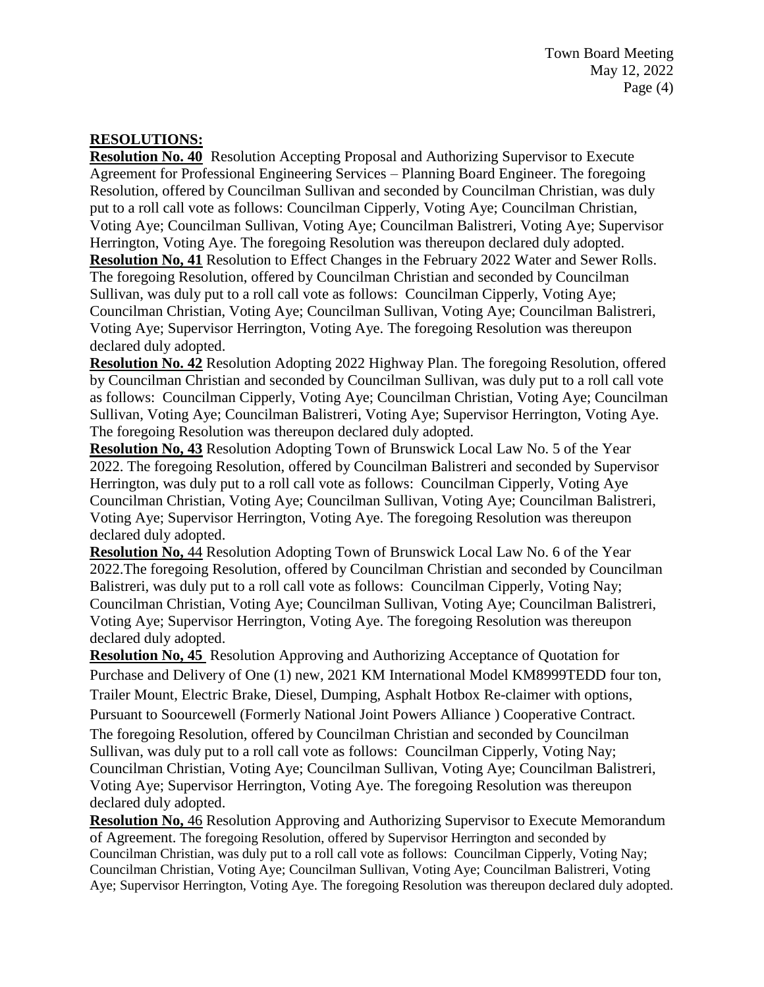## **RESOLUTIONS:**

**Resolution No. 40** Resolution Accepting Proposal and Authorizing Supervisor to Execute Agreement for Professional Engineering Services – Planning Board Engineer. The foregoing Resolution, offered by Councilman Sullivan and seconded by Councilman Christian, was duly put to a roll call vote as follows: Councilman Cipperly, Voting Aye; Councilman Christian, Voting Aye; Councilman Sullivan, Voting Aye; Councilman Balistreri, Voting Aye; Supervisor Herrington, Voting Aye. The foregoing Resolution was thereupon declared duly adopted. **Resolution No, 41** Resolution to Effect Changes in the February 2022 Water and Sewer Rolls. The foregoing Resolution, offered by Councilman Christian and seconded by Councilman Sullivan, was duly put to a roll call vote as follows: Councilman Cipperly, Voting Aye; Councilman Christian, Voting Aye; Councilman Sullivan, Voting Aye; Councilman Balistreri, Voting Aye; Supervisor Herrington, Voting Aye. The foregoing Resolution was thereupon declared duly adopted.

**Resolution No. 42** Resolution Adopting 2022 Highway Plan. The foregoing Resolution, offered by Councilman Christian and seconded by Councilman Sullivan, was duly put to a roll call vote as follows: Councilman Cipperly, Voting Aye; Councilman Christian, Voting Aye; Councilman Sullivan, Voting Aye; Councilman Balistreri, Voting Aye; Supervisor Herrington, Voting Aye. The foregoing Resolution was thereupon declared duly adopted.

**Resolution No, 43** Resolution Adopting Town of Brunswick Local Law No. 5 of the Year 2022. The foregoing Resolution, offered by Councilman Balistreri and seconded by Supervisor Herrington, was duly put to a roll call vote as follows: Councilman Cipperly, Voting Aye Councilman Christian, Voting Aye; Councilman Sullivan, Voting Aye; Councilman Balistreri, Voting Aye; Supervisor Herrington, Voting Aye. The foregoing Resolution was thereupon declared duly adopted.

**Resolution No,** 44 Resolution Adopting Town of Brunswick Local Law No. 6 of the Year 2022.The foregoing Resolution, offered by Councilman Christian and seconded by Councilman Balistreri, was duly put to a roll call vote as follows: Councilman Cipperly, Voting Nay; Councilman Christian, Voting Aye; Councilman Sullivan, Voting Aye; Councilman Balistreri, Voting Aye; Supervisor Herrington, Voting Aye. The foregoing Resolution was thereupon declared duly adopted.

**Resolution No, 45** Resolution Approving and Authorizing Acceptance of Quotation for Purchase and Delivery of One (1) new, 2021 KM International Model KM8999TEDD four ton, Trailer Mount, Electric Brake, Diesel, Dumping, Asphalt Hotbox Re-claimer with options, Pursuant to Soourcewell (Formerly National Joint Powers Alliance ) Cooperative Contract. The foregoing Resolution, offered by Councilman Christian and seconded by Councilman Sullivan, was duly put to a roll call vote as follows: Councilman Cipperly, Voting Nay; Councilman Christian, Voting Aye; Councilman Sullivan, Voting Aye; Councilman Balistreri, Voting Aye; Supervisor Herrington, Voting Aye. The foregoing Resolution was thereupon declared duly adopted.

**Resolution No,** 46 Resolution Approving and Authorizing Supervisor to Execute Memorandum of Agreement. The foregoing Resolution, offered by Supervisor Herrington and seconded by Councilman Christian, was duly put to a roll call vote as follows: Councilman Cipperly, Voting Nay; Councilman Christian, Voting Aye; Councilman Sullivan, Voting Aye; Councilman Balistreri, Voting Aye; Supervisor Herrington, Voting Aye. The foregoing Resolution was thereupon declared duly adopted.